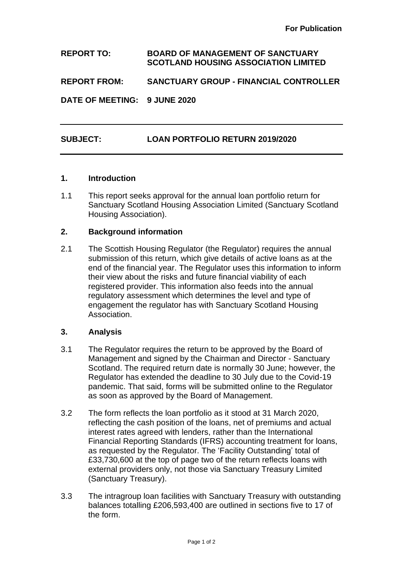**REPORT TO: BOARD OF MANAGEMENT OF SANCTUARY SCOTLAND HOUSING ASSOCIATION LIMITED REPORT FROM: SANCTUARY GROUP - FINANCIAL CONTROLLER**

**DATE OF MEETING: 9 JUNE 2020**

# **SUBJECT: LOAN PORTFOLIO RETURN 2019/2020**

#### **1. Introduction**

1.1 This report seeks approval for the annual loan portfolio return for Sanctuary Scotland Housing Association Limited (Sanctuary Scotland Housing Association).

#### **2. Background information**

2.1 The Scottish Housing Regulator (the Regulator) requires the annual submission of this return, which give details of active loans as at the end of the financial year. The Regulator uses this information to inform their view about the risks and future financial viability of each registered provider. This information also feeds into the annual regulatory assessment which determines the level and type of engagement the regulator has with Sanctuary Scotland Housing Association.

### **3. Analysis**

- 3.1 The Regulator requires the return to be approved by the Board of Management and signed by the Chairman and Director - Sanctuary Scotland. The required return date is normally 30 June; however, the Regulator has extended the deadline to 30 July due to the Covid-19 pandemic. That said, forms will be submitted online to the Regulator as soon as approved by the Board of Management.
- 3.2 The form reflects the loan portfolio as it stood at 31 March 2020, reflecting the cash position of the loans, net of premiums and actual interest rates agreed with lenders, rather than the International Financial Reporting Standards (IFRS) accounting treatment for loans, as requested by the Regulator. The 'Facility Outstanding' total of £33,730,600 at the top of page two of the return reflects loans with external providers only, not those via Sanctuary Treasury Limited (Sanctuary Treasury).
- 3.3 The intragroup loan facilities with Sanctuary Treasury with outstanding balances totalling £206,593,400 are outlined in sections five to 17 of the form.